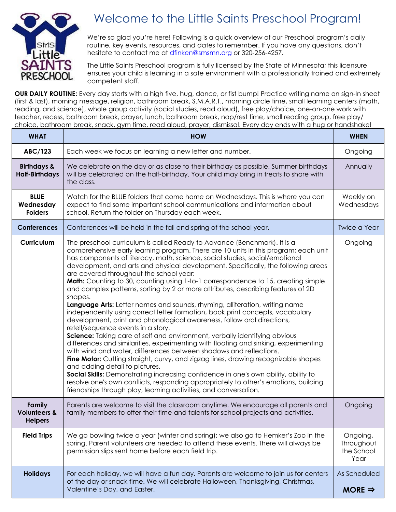

## Welcome to the Little Saints Preschool Program!

We're so glad you're here! Following is a quick overview of our Preschool program's daily routine, key events, resources, and dates to remember. If you have any questions, don't hesitate to contact me at dfinken@smsmn.org or 320-256-4257.

The Little Saints Preschool program is fully licensed by the State of Minnesota; this licensure ensures your child is learning in a safe environment with a professionally trained and extremely competent staff.

**OUR DAILY ROUTINE:** Every day starts with a high five, hug, dance, or fist bump! Practice writing name on sign-In sheet (first & last), morning message, religion, bathroom break, S.M.A.R.T., morning circle time, small learning centers (math, reading, and science), whole group activity (social studies, read aloud), free play/choice, one-on-one work with teacher, recess, bathroom break, prayer, lunch, bathroom break, nap/rest time, small reading group, free play/ choice, bathroom break, snack, gym time, read aloud, prayer, dismissal. Every day ends with a hug or handshake!

| <b>WHAT</b>                                         | <b>HOW</b>                                                                                                                                                                                                                                                                                                                                                                                                                                                                                                                                                                                                                                                                                                                                                                                                                                                                                                                                                                                                                                                                                                                                                                                                                                                                                                                                                                                                                                                              | <b>WHEN</b>                                  |
|-----------------------------------------------------|-------------------------------------------------------------------------------------------------------------------------------------------------------------------------------------------------------------------------------------------------------------------------------------------------------------------------------------------------------------------------------------------------------------------------------------------------------------------------------------------------------------------------------------------------------------------------------------------------------------------------------------------------------------------------------------------------------------------------------------------------------------------------------------------------------------------------------------------------------------------------------------------------------------------------------------------------------------------------------------------------------------------------------------------------------------------------------------------------------------------------------------------------------------------------------------------------------------------------------------------------------------------------------------------------------------------------------------------------------------------------------------------------------------------------------------------------------------------------|----------------------------------------------|
| ABC/123                                             | Each week we focus on learning a new letter and number.                                                                                                                                                                                                                                                                                                                                                                                                                                                                                                                                                                                                                                                                                                                                                                                                                                                                                                                                                                                                                                                                                                                                                                                                                                                                                                                                                                                                                 | Ongoing                                      |
| <b>Birthdays &amp;</b><br><b>Half-Birthdays</b>     | We celebrate on the day or as close to their birthday as possible. Summer birthdays<br>will be celebrated on the half-birthday. Your child may bring in treats to share with<br>the class.                                                                                                                                                                                                                                                                                                                                                                                                                                                                                                                                                                                                                                                                                                                                                                                                                                                                                                                                                                                                                                                                                                                                                                                                                                                                              | Annually                                     |
| <b>BLUE</b><br>Wednesday<br><b>Folders</b>          | Watch for the BLUE folders that come home on Wednesdays. This is where you can<br>expect to find some important school communications and information about<br>school. Return the folder on Thursday each week.                                                                                                                                                                                                                                                                                                                                                                                                                                                                                                                                                                                                                                                                                                                                                                                                                                                                                                                                                                                                                                                                                                                                                                                                                                                         | Weekly on<br>Wednesdays                      |
| <b>Conferences</b>                                  | Conferences will be held in the fall and spring of the school year.                                                                                                                                                                                                                                                                                                                                                                                                                                                                                                                                                                                                                                                                                                                                                                                                                                                                                                                                                                                                                                                                                                                                                                                                                                                                                                                                                                                                     | <b>Twice a Year</b>                          |
| Curriculum                                          | The preschool curriculum is called Ready to Advance (Benchmark). It is a<br>comprehensive early learning program. There are 10 units in this program; each unit<br>has components of literacy, math, science, social studies, social/emotional<br>development, and arts and physical development. Specifically, the following areas<br>are covered throughout the school year:<br>Math: Counting to 30, counting using 1-to-1 correspondence to 15, creating simple<br>and complex patterns, sorting by 2 or more attributes, describing features of 2D<br>shapes.<br>Language Arts: Letter names and sounds, rhyming, alliteration, writing name<br>independently using correct letter formation, book print concepts, vocabulary<br>development, print and phonological awareness, follow oral directions,<br>retell/sequence events in a story.<br>Science: Taking care of self and environment, verbally identifying obvious<br>differences and similarities, experimenting with floating and sinking, experimenting<br>with wind and water, differences between shadows and reflections.<br>Fine Motor: Cutting straight, curvy, and zigzag lines, drawing recognizable shapes<br>and adding detail to pictures.<br>Social Skills: Demonstrating increasing confidence in one's own ability, ability to<br>resolve one's own conflicts, responding appropriately to other's emotions, building<br>friendships through play, learning activities, and conversation. | Ongoing                                      |
| Family<br><b>Volunteers &amp;</b><br><b>Helpers</b> | Parents are welcome to visit the classroom anytime. We encourage all parents and<br>family members to offer their time and talents for school projects and activities.                                                                                                                                                                                                                                                                                                                                                                                                                                                                                                                                                                                                                                                                                                                                                                                                                                                                                                                                                                                                                                                                                                                                                                                                                                                                                                  | Ongoing                                      |
| <b>Field Trips</b>                                  | We go bowling twice a year (winter and spring); we also go to Hemker's Zoo in the<br>spring. Parent volunteers are needed to attend these events. There will always be<br>permission slips sent home before each field trip.                                                                                                                                                                                                                                                                                                                                                                                                                                                                                                                                                                                                                                                                                                                                                                                                                                                                                                                                                                                                                                                                                                                                                                                                                                            | Ongoing,<br>Throughout<br>the School<br>Year |
| <b>Holidays</b>                                     | For each holiday, we will have a fun day. Parents are welcome to join us for centers<br>of the day or snack time. We will celebrate Halloween, Thanksgiving, Christmas,<br>Valentine's Day, and Easter.                                                                                                                                                                                                                                                                                                                                                                                                                                                                                                                                                                                                                                                                                                                                                                                                                                                                                                                                                                                                                                                                                                                                                                                                                                                                 | As Scheduled<br>MORE $\Rightarrow$           |